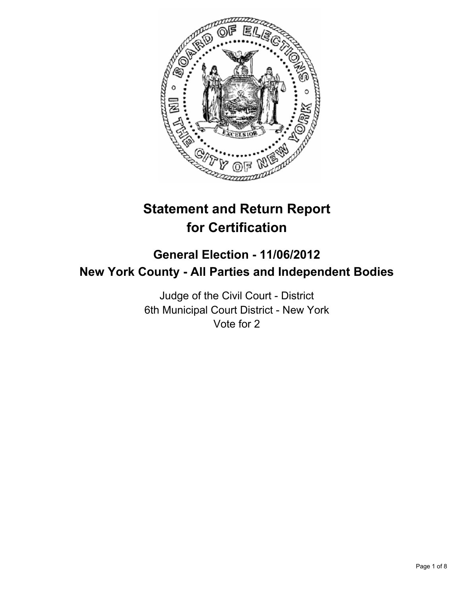

# **Statement and Return Report for Certification**

# **General Election - 11/06/2012 New York County - All Parties and Independent Bodies**

Judge of the Civil Court - District 6th Municipal Court District - New York Vote for 2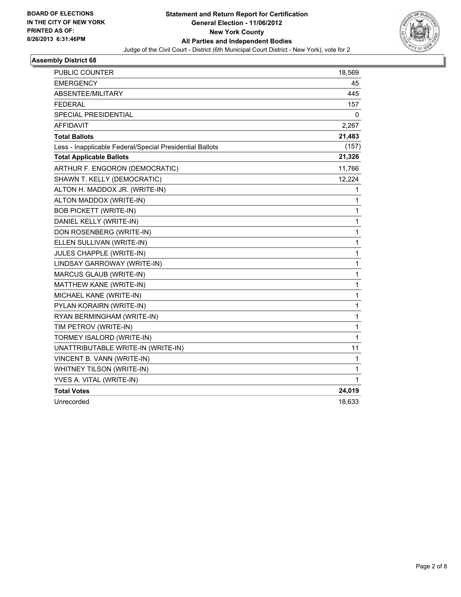

| PUBLIC COUNTER                                           | 18,569       |
|----------------------------------------------------------|--------------|
| <b>EMERGENCY</b>                                         | 45           |
| ABSENTEE/MILITARY                                        | 445          |
| <b>FEDERAL</b>                                           | 157          |
| SPECIAL PRESIDENTIAL                                     | 0            |
| AFFIDAVIT                                                | 2,267        |
| <b>Total Ballots</b>                                     | 21,483       |
| Less - Inapplicable Federal/Special Presidential Ballots | (157)        |
| <b>Total Applicable Ballots</b>                          | 21,326       |
| ARTHUR F. ENGORON (DEMOCRATIC)                           | 11,766       |
| SHAWN T. KELLY (DEMOCRATIC)                              | 12,224       |
| ALTON H. MADDOX JR. (WRITE-IN)                           | 1            |
| ALTON MADDOX (WRITE-IN)                                  | 1            |
| <b>BOB PICKETT (WRITE-IN)</b>                            | 1            |
| DANIEL KELLY (WRITE-IN)                                  | $\mathbf 1$  |
| DON ROSENBERG (WRITE-IN)                                 | 1            |
| ELLEN SULLIVAN (WRITE-IN)                                | $\mathbf{1}$ |
| JULES CHAPPLE (WRITE-IN)                                 | 1            |
| LINDSAY GARROWAY (WRITE-IN)                              | 1            |
| MARCUS GLAUB (WRITE-IN)                                  | $\mathbf 1$  |
| MATTHEW KANE (WRITE-IN)                                  | 1            |
| MICHAEL KANE (WRITE-IN)                                  | $\mathbf{1}$ |
| PYLAN KORAIRN (WRITE-IN)                                 | 1            |
| RYAN BERMINGHAM (WRITE-IN)                               | $\mathbf{1}$ |
| TIM PETROV (WRITE-IN)                                    | $\mathbf{1}$ |
| TORMEY ISALORD (WRITE-IN)                                | $\mathbf{1}$ |
| UNATTRIBUTABLE WRITE-IN (WRITE-IN)                       | 11           |
| VINCENT B. VANN (WRITE-IN)                               | 1            |
| WHITNEY TILSON (WRITE-IN)                                | $\mathbf{1}$ |
| YVES A. VITAL (WRITE-IN)                                 | 1            |
| <b>Total Votes</b>                                       | 24,019       |
| Unrecorded                                               | 18,633       |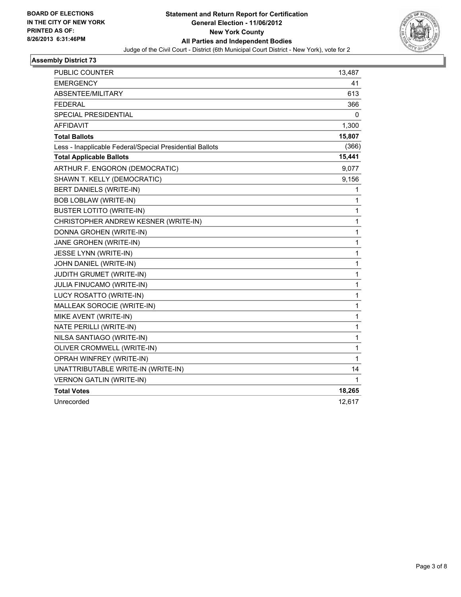

| <b>PUBLIC COUNTER</b>                                    | 13,487       |
|----------------------------------------------------------|--------------|
| EMERGENCY                                                | 41           |
| ABSENTEE/MILITARY                                        | 613          |
| FEDERAL                                                  | 366          |
| SPECIAL PRESIDENTIAL                                     | 0            |
| <b>AFFIDAVIT</b>                                         | 1,300        |
| <b>Total Ballots</b>                                     | 15,807       |
| Less - Inapplicable Federal/Special Presidential Ballots | (366)        |
| <b>Total Applicable Ballots</b>                          | 15,441       |
| ARTHUR F. ENGORON (DEMOCRATIC)                           | 9,077        |
| SHAWN T. KELLY (DEMOCRATIC)                              | 9,156        |
| BERT DANIELS (WRITE-IN)                                  | 1            |
| <b>BOB LOBLAW (WRITE-IN)</b>                             | 1            |
| <b>BUSTER LOTITO (WRITE-IN)</b>                          | 1            |
| CHRISTOPHER ANDREW KESNER (WRITE-IN)                     | 1            |
| DONNA GROHEN (WRITE-IN)                                  | 1            |
| JANE GROHEN (WRITE-IN)                                   | 1            |
| <b>JESSE LYNN (WRITE-IN)</b>                             | 1            |
| JOHN DANIEL (WRITE-IN)                                   | 1            |
| JUDITH GRUMET (WRITE-IN)                                 | 1            |
| <b>JULIA FINUCAMO (WRITE-IN)</b>                         | $\mathbf{1}$ |
| LUCY ROSATTO (WRITE-IN)                                  | 1            |
| MALLEAK SOROCIE (WRITE-IN)                               | 1            |
| MIKE AVENT (WRITE-IN)                                    | 1            |
| NATE PERILLI (WRITE-IN)                                  | 1            |
| NILSA SANTIAGO (WRITE-IN)                                | 1            |
| OLIVER CROMWELL (WRITE-IN)                               | 1            |
| OPRAH WINFREY (WRITE-IN)                                 | 1            |
| UNATTRIBUTABLE WRITE-IN (WRITE-IN)                       | 14           |
| <b>VERNON GATLIN (WRITE-IN)</b>                          | 1            |
| <b>Total Votes</b>                                       | 18,265       |
| Unrecorded                                               | 12,617       |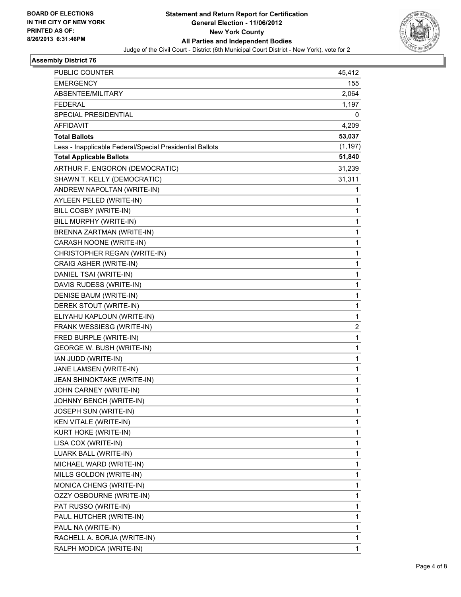

| PUBLIC COUNTER                                           | 45,412   |
|----------------------------------------------------------|----------|
| <b>EMERGENCY</b>                                         | 155      |
| ABSENTEE/MILITARY                                        | 2,064    |
| <b>FEDERAL</b>                                           | 1,197    |
| SPECIAL PRESIDENTIAL                                     | 0        |
| AFFIDAVIT                                                | 4,209    |
| <b>Total Ballots</b>                                     | 53,037   |
| Less - Inapplicable Federal/Special Presidential Ballots | (1, 197) |
| <b>Total Applicable Ballots</b>                          | 51,840   |
| ARTHUR F. ENGORON (DEMOCRATIC)                           | 31,239   |
| SHAWN T. KELLY (DEMOCRATIC)                              | 31,311   |
| ANDREW NAPOLTAN (WRITE-IN)                               | 1        |
| AYLEEN PELED (WRITE-IN)                                  | 1        |
| BILL COSBY (WRITE-IN)                                    | 1        |
| BILL MURPHY (WRITE-IN)                                   | 1        |
| BRENNA ZARTMAN (WRITE-IN)                                | 1        |
| CARASH NOONE (WRITE-IN)                                  | 1        |
| CHRISTOPHER REGAN (WRITE-IN)                             | 1        |
| CRAIG ASHER (WRITE-IN)                                   | 1        |
| DANIEL TSAI (WRITE-IN)                                   | 1        |
| DAVIS RUDESS (WRITE-IN)                                  | 1        |
| DENISE BAUM (WRITE-IN)                                   | 1        |
| DEREK STOUT (WRITE-IN)                                   | 1        |
| ELIYAHU KAPLOUN (WRITE-IN)                               | 1        |
| FRANK WESSIESG (WRITE-IN)                                | 2        |
| FRED BURPLE (WRITE-IN)                                   | 1        |
| GEORGE W. BUSH (WRITE-IN)                                | 1        |
| IAN JUDD (WRITE-IN)                                      | 1        |
| JANE LAMSEN (WRITE-IN)                                   | 1        |
| JEAN SHINOKTAKE (WRITE-IN)                               | 1        |
| JOHN CARNEY (WRITE-IN)                                   | 1        |
| JOHNNY BENCH (WRITE-IN)                                  | 1        |
| JOSEPH SUN (WRITE-IN)                                    | 1        |
| <b>KEN VITALE (WRITE-IN)</b>                             | 1        |
| KURT HOKE (WRITE-IN)                                     | 1        |
| LISA COX (WRITE-IN)                                      | 1        |
| LUARK BALL (WRITE-IN)                                    | 1        |
| MICHAEL WARD (WRITE-IN)                                  | 1        |
| MILLS GOLDON (WRITE-IN)                                  | 1        |
| MONICA CHENG (WRITE-IN)                                  | 1        |
| OZZY OSBOURNE (WRITE-IN)                                 | 1        |
| PAT RUSSO (WRITE-IN)                                     | 1        |
| PAUL HUTCHER (WRITE-IN)                                  | 1        |
| PAUL NA (WRITE-IN)                                       | 1        |
| RACHELL A. BORJA (WRITE-IN)                              | 1        |
| RALPH MODICA (WRITE-IN)                                  | 1        |
|                                                          |          |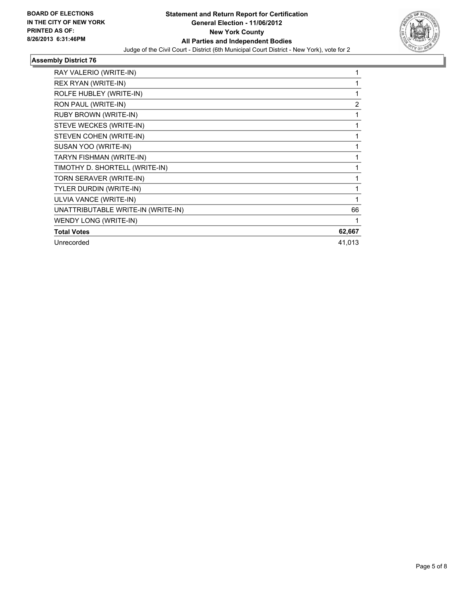

| RAY VALERIO (WRITE-IN)             | 1              |
|------------------------------------|----------------|
| REX RYAN (WRITE-IN)                | $\mathbf{1}$   |
| ROLFE HUBLEY (WRITE-IN)            | 1              |
| RON PAUL (WRITE-IN)                | $\overline{2}$ |
| RUBY BROWN (WRITE-IN)              | 1              |
| STEVE WECKES (WRITE-IN)            | 1              |
| STEVEN COHEN (WRITE-IN)            | 1              |
| SUSAN YOO (WRITE-IN)               | 1              |
| TARYN FISHMAN (WRITE-IN)           | 1              |
| TIMOTHY D. SHORTELL (WRITE-IN)     | 1              |
| TORN SERAVER (WRITE-IN)            | 1              |
| TYLER DURDIN (WRITE-IN)            | 1              |
| ULVIA VANCE (WRITE-IN)             | 1              |
| UNATTRIBUTABLE WRITE-IN (WRITE-IN) | 66             |
| WENDY LONG (WRITE-IN)              | 1              |
| <b>Total Votes</b>                 | 62,667         |
| Unrecorded                         | 41,013         |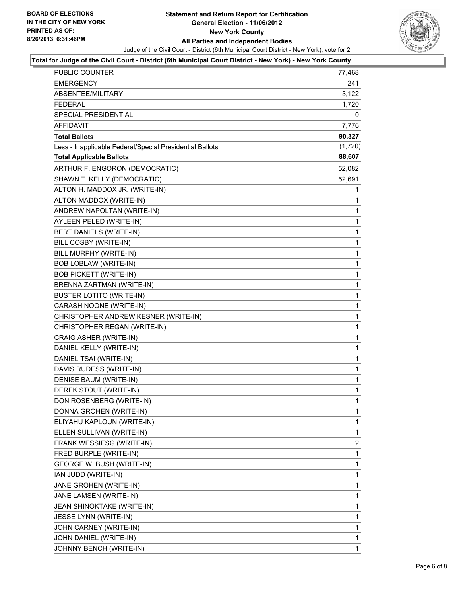

#### **Total for Judge of the Civil Court - District (6th Municipal Court District - New York) - New York County**

| <b>PUBLIC COUNTER</b>                                    | 77,468       |
|----------------------------------------------------------|--------------|
| <b>EMERGENCY</b>                                         | 241          |
| ABSENTEE/MILITARY                                        | 3,122        |
| <b>FEDERAL</b>                                           | 1,720        |
| SPECIAL PRESIDENTIAL                                     | 0            |
| AFFIDAVIT                                                | 7,776        |
| <b>Total Ballots</b>                                     | 90,327       |
| Less - Inapplicable Federal/Special Presidential Ballots | (1,720)      |
| <b>Total Applicable Ballots</b>                          | 88,607       |
| ARTHUR F. ENGORON (DEMOCRATIC)                           | 52,082       |
| SHAWN T. KELLY (DEMOCRATIC)                              | 52,691       |
| ALTON H. MADDOX JR. (WRITE-IN)                           | 1            |
| ALTON MADDOX (WRITE-IN)                                  | 1            |
| ANDREW NAPOLTAN (WRITE-IN)                               | 1            |
| AYLEEN PELED (WRITE-IN)                                  | $\mathbf 1$  |
| BERT DANIELS (WRITE-IN)                                  | 1            |
| BILL COSBY (WRITE-IN)                                    | 1            |
| BILL MURPHY (WRITE-IN)                                   | 1            |
| <b>BOB LOBLAW (WRITE-IN)</b>                             | 1            |
| <b>BOB PICKETT (WRITE-IN)</b>                            | 1            |
| BRENNA ZARTMAN (WRITE-IN)                                | $\mathbf 1$  |
| <b>BUSTER LOTITO (WRITE-IN)</b>                          | 1            |
| CARASH NOONE (WRITE-IN)                                  | 1            |
| CHRISTOPHER ANDREW KESNER (WRITE-IN)                     | $\mathbf{1}$ |
| CHRISTOPHER REGAN (WRITE-IN)                             | 1            |
| CRAIG ASHER (WRITE-IN)                                   | 1            |
| DANIEL KELLY (WRITE-IN)                                  | $\mathbf{1}$ |
| DANIEL TSAI (WRITE-IN)                                   | 1            |
| DAVIS RUDESS (WRITE-IN)                                  | 1            |
| DENISE BAUM (WRITE-IN)                                   | $\mathbf{1}$ |
| DEREK STOUT (WRITE-IN)                                   | 1            |
| DON ROSENBERG (WRITE-IN)                                 | 1            |
| DONNA GROHEN (WRITE-IN)                                  | 1            |
| ELIYAHU KAPLOUN (WRITE-IN)                               | 1            |
| ELLEN SULLIVAN (WRITE-IN)                                | 1            |
| FRANK WESSIESG (WRITE-IN)                                | 2            |
| FRED BURPLE (WRITE-IN)                                   | 1            |
| GEORGE W. BUSH (WRITE-IN)                                | 1            |
| IAN JUDD (WRITE-IN)                                      | 1            |
| JANE GROHEN (WRITE-IN)                                   | 1            |
| JANE LAMSEN (WRITE-IN)                                   | 1            |
| JEAN SHINOKTAKE (WRITE-IN)                               | 1            |
| JESSE LYNN (WRITE-IN)                                    | 1            |
| JOHN CARNEY (WRITE-IN)                                   | 1            |
| JOHN DANIEL (WRITE-IN)                                   | 1            |
| JOHNNY BENCH (WRITE-IN)                                  | 1            |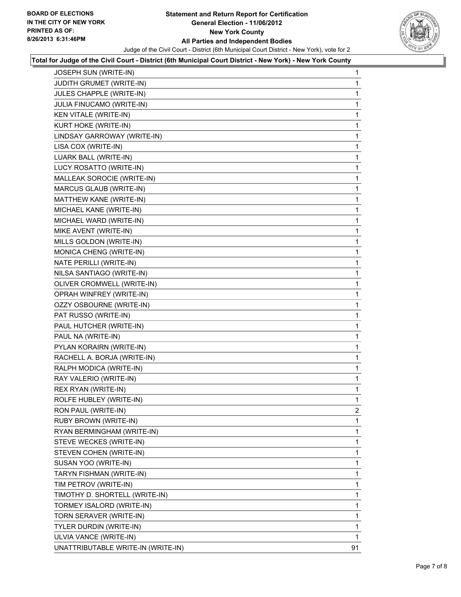#### **Statement and Return Report for Certification General Election - 11/06/2012 New York County All Parties and Independent Bodies** Judge of the Civil Court - District (6th Municipal Court District - New York), vote for 2



#### **Total for Judge of the Civil Court - District (6th Municipal Court District - New York) - New York County**

| JOSEPH SUN (WRITE-IN)              | 1  |
|------------------------------------|----|
| JUDITH GRUMET (WRITE-IN)           | 1  |
| JULES CHAPPLE (WRITE-IN)           | 1  |
| JULIA FINUCAMO (WRITE-IN)          | 1  |
| <b>KEN VITALE (WRITE-IN)</b>       | 1  |
| KURT HOKE (WRITE-IN)               | 1  |
| LINDSAY GARROWAY (WRITE-IN)        | 1  |
| LISA COX (WRITE-IN)                | 1  |
| <b>LUARK BALL (WRITE-IN)</b>       | 1  |
| LUCY ROSATTO (WRITE-IN)            | 1  |
| MALLEAK SOROCIE (WRITE-IN)         | 1  |
| MARCUS GLAUB (WRITE-IN)            | 1  |
| MATTHEW KANE (WRITE-IN)            | 1  |
| MICHAEL KANE (WRITE-IN)            | 1  |
| MICHAEL WARD (WRITE-IN)            | 1  |
| MIKE AVENT (WRITE-IN)              | 1  |
| MILLS GOLDON (WRITE-IN)            | 1  |
| MONICA CHENG (WRITE-IN)            | 1  |
| NATE PERILLI (WRITE-IN)            | 1  |
| NILSA SANTIAGO (WRITE-IN)          | 1  |
| OLIVER CROMWELL (WRITE-IN)         | 1  |
| OPRAH WINFREY (WRITE-IN)           | 1  |
| OZZY OSBOURNE (WRITE-IN)           | 1  |
| PAT RUSSO (WRITE-IN)               | 1  |
| PAUL HUTCHER (WRITE-IN)            | 1  |
| PAUL NA (WRITE-IN)                 | 1  |
| PYLAN KORAIRN (WRITE-IN)           | 1  |
| RACHELL A. BORJA (WRITE-IN)        | 1  |
| RALPH MODICA (WRITE-IN)            | 1  |
| RAY VALERIO (WRITE-IN)             | 1  |
| REX RYAN (WRITE-IN)                | 1  |
| ROLFE HUBLEY (WRITE-IN)            | 1  |
| RON PAUL (WRITE-IN)                | 2  |
| RUBY BROWN (WRITE-IN)              | 1  |
| RYAN BERMINGHAM (WRITE-IN)         | 1  |
| STEVE WECKES (WRITE-IN)            | 1  |
| STEVEN COHEN (WRITE-IN)            | 1  |
| SUSAN YOO (WRITE-IN)               | 1  |
| TARYN FISHMAN (WRITE-IN)           | 1  |
| TIM PETROV (WRITE-IN)              | 1  |
| TIMOTHY D. SHORTELL (WRITE-IN)     | 1  |
| TORMEY ISALORD (WRITE-IN)          | 1  |
| TORN SERAVER (WRITE-IN)            | 1  |
| TYLER DURDIN (WRITE-IN)            | 1  |
| ULVIA VANCE (WRITE-IN)             | 1  |
| UNATTRIBUTABLE WRITE-IN (WRITE-IN) | 91 |